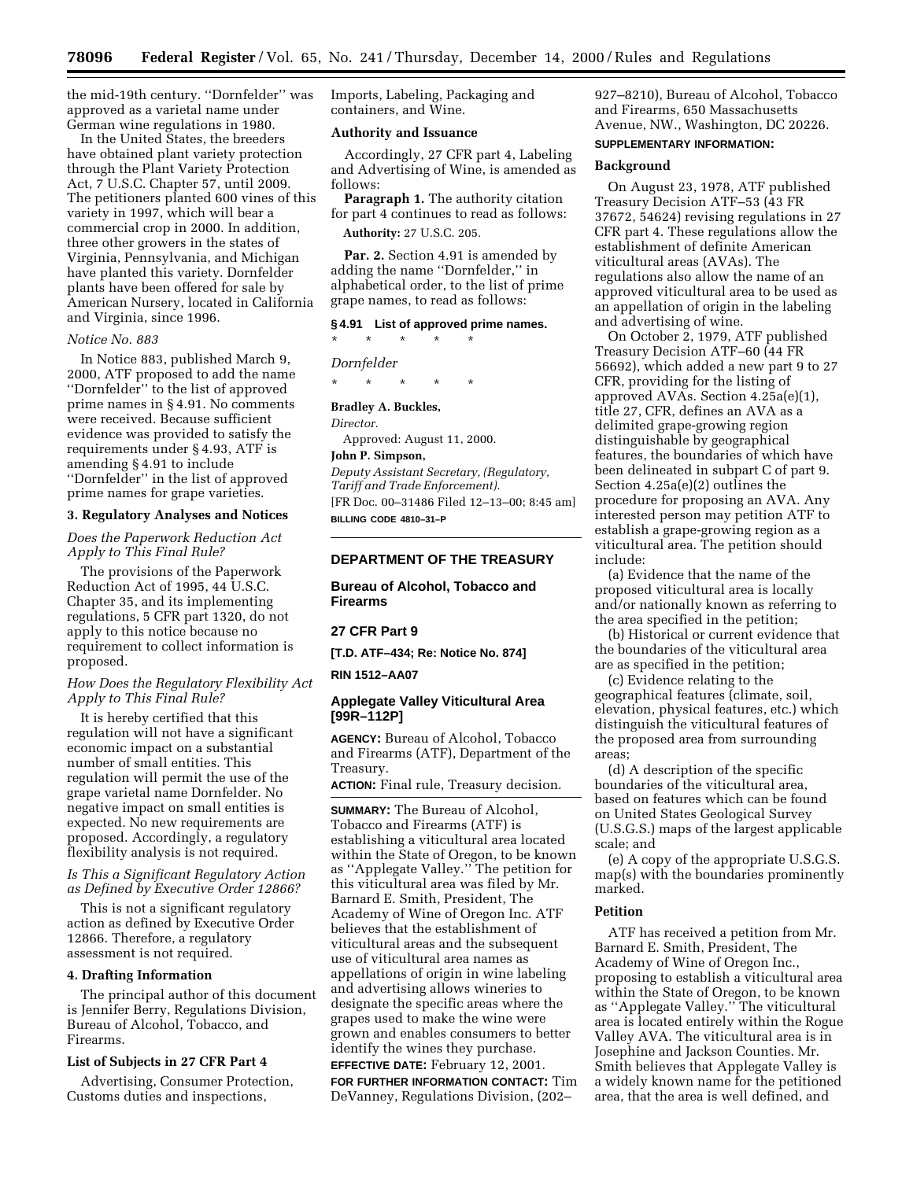the mid-19th century. ''Dornfelder'' was approved as a varietal name under German wine regulations in 1980.

In the United States, the breeders have obtained plant variety protection through the Plant Variety Protection Act, 7 U.S.C. Chapter 57, until 2009. The petitioners planted 600 vines of this variety in 1997, which will bear a commercial crop in 2000. In addition, three other growers in the states of Virginia, Pennsylvania, and Michigan have planted this variety. Dornfelder plants have been offered for sale by American Nursery, located in California and Virginia, since 1996.

## *Notice No. 883*

In Notice 883, published March 9, 2000, ATF proposed to add the name ''Dornfelder'' to the list of approved prime names in § 4.91. No comments were received. Because sufficient evidence was provided to satisfy the requirements under § 4.93, ATF is amending § 4.91 to include ''Dornfelder'' in the list of approved prime names for grape varieties.

#### **3. Regulatory Analyses and Notices**

*Does the Paperwork Reduction Act Apply to This Final Rule?*

The provisions of the Paperwork Reduction Act of 1995, 44 U.S.C. Chapter 35, and its implementing regulations, 5 CFR part 1320, do not apply to this notice because no requirement to collect information is proposed.

## *How Does the Regulatory Flexibility Act Apply to This Final Rule?*

It is hereby certified that this regulation will not have a significant economic impact on a substantial number of small entities. This regulation will permit the use of the grape varietal name Dornfelder. No negative impact on small entities is expected. No new requirements are proposed. Accordingly, a regulatory flexibility analysis is not required.

## *Is This a Significant Regulatory Action as Defined by Executive Order 12866?*

This is not a significant regulatory action as defined by Executive Order 12866. Therefore, a regulatory assessment is not required.

## **4. Drafting Information**

The principal author of this document is Jennifer Berry, Regulations Division, Bureau of Alcohol, Tobacco, and Firearms.

## **List of Subjects in 27 CFR Part 4**

Advertising, Consumer Protection, Customs duties and inspections,

Imports, Labeling, Packaging and containers, and Wine.

### **Authority and Issuance**

Accordingly, 27 CFR part 4, Labeling and Advertising of Wine, is amended as follows:

**Paragraph 1.** The authority citation for part 4 continues to read as follows:

**Authority:** 27 U.S.C. 205.

**Par. 2.** Section 4.91 is amended by adding the name ''Dornfelder,'' in alphabetical order, to the list of prime grape names, to read as follows:

#### **§ 4.91 List of approved prime names.**

\* \* \* \* \*

*Dornfelder*

\* \* \* \* \*

#### **Bradley A. Buckles,**

*Director.*

Approved: August 11, 2000.

## **John P. Simpson,**

*Deputy Assistant Secretary, (Regulatory, Tariff and Trade Enforcement).* [FR Doc. 00–31486 Filed 12–13–00; 8:45 am] **BILLING CODE 4810–31–P**

## **DEPARTMENT OF THE TREASURY**

## **Bureau of Alcohol, Tobacco and Firearms**

### **27 CFR Part 9**

**[T.D. ATF–434; Re: Notice No. 874]**

#### **RIN 1512–AA07**

## **Applegate Valley Viticultural Area [99R–112P]**

**AGENCY:** Bureau of Alcohol, Tobacco and Firearms (ATF), Department of the Treasury.

**ACTION:** Final rule, Treasury decision.

**SUMMARY:** The Bureau of Alcohol, Tobacco and Firearms (ATF) is establishing a viticultural area located within the State of Oregon, to be known as ''Applegate Valley.'' The petition for this viticultural area was filed by Mr. Barnard E. Smith, President, The Academy of Wine of Oregon Inc. ATF believes that the establishment of viticultural areas and the subsequent use of viticultural area names as appellations of origin in wine labeling and advertising allows wineries to designate the specific areas where the grapes used to make the wine were grown and enables consumers to better identify the wines they purchase.

**EFFECTIVE DATE:** February 12, 2001. **FOR FURTHER INFORMATION CONTACT:** Tim DeVanney, Regulations Division, (202–

927–8210), Bureau of Alcohol, Tobacco and Firearms, 650 Massachusetts Avenue, NW., Washington, DC 20226.

## **SUPPLEMENTARY INFORMATION:**

### **Background**

On August 23, 1978, ATF published Treasury Decision ATF–53 (43 FR 37672, 54624) revising regulations in 27 CFR part 4. These regulations allow the establishment of definite American viticultural areas (AVAs). The regulations also allow the name of an approved viticultural area to be used as an appellation of origin in the labeling and advertising of wine.

On October 2, 1979, ATF published Treasury Decision ATF–60 (44 FR 56692), which added a new part 9 to 27 CFR, providing for the listing of approved AVAs. Section 4.25a(e)(1), title 27, CFR, defines an AVA as a delimited grape-growing region distinguishable by geographical features, the boundaries of which have been delineated in subpart C of part 9. Section 4.25a(e)(2) outlines the procedure for proposing an AVA. Any interested person may petition ATF to establish a grape-growing region as a viticultural area. The petition should include:

(a) Evidence that the name of the proposed viticultural area is locally and/or nationally known as referring to the area specified in the petition;

(b) Historical or current evidence that the boundaries of the viticultural area are as specified in the petition;

(c) Evidence relating to the geographical features (climate, soil, elevation, physical features, etc.) which distinguish the viticultural features of the proposed area from surrounding areas;

(d) A description of the specific boundaries of the viticultural area, based on features which can be found on United States Geological Survey (U.S.G.S.) maps of the largest applicable scale; and

(e) A copy of the appropriate U.S.G.S. map(s) with the boundaries prominently marked.

#### **Petition**

ATF has received a petition from Mr. Barnard E. Smith, President, The Academy of Wine of Oregon Inc., proposing to establish a viticultural area within the State of Oregon, to be known as ''Applegate Valley.'' The viticultural area is located entirely within the Rogue Valley AVA. The viticultural area is in Josephine and Jackson Counties. Mr. Smith believes that Applegate Valley is a widely known name for the petitioned area, that the area is well defined, and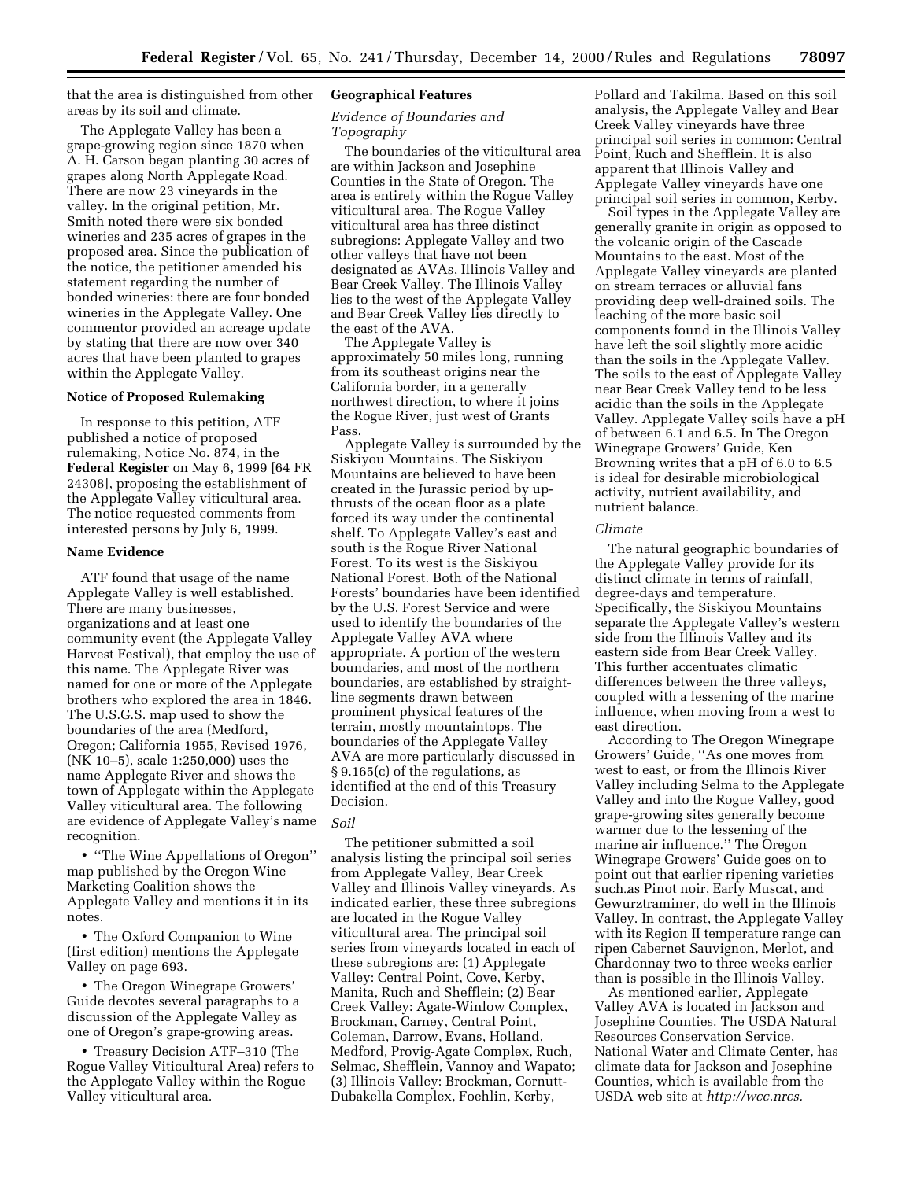that the area is distinguished from other areas by its soil and climate.

The Applegate Valley has been a grape-growing region since 1870 when A. H. Carson began planting 30 acres of grapes along North Applegate Road. There are now 23 vineyards in the valley. In the original petition, Mr. Smith noted there were six bonded wineries and 235 acres of grapes in the proposed area. Since the publication of the notice, the petitioner amended his statement regarding the number of bonded wineries: there are four bonded wineries in the Applegate Valley. One commentor provided an acreage update by stating that there are now over 340 acres that have been planted to grapes within the Applegate Valley.

## **Notice of Proposed Rulemaking**

In response to this petition, ATF published a notice of proposed rulemaking, Notice No. 874, in the **Federal Register** on May 6, 1999 [64 FR 24308], proposing the establishment of the Applegate Valley viticultural area. The notice requested comments from interested persons by July 6, 1999.

#### **Name Evidence**

ATF found that usage of the name Applegate Valley is well established. There are many businesses, organizations and at least one community event (the Applegate Valley Harvest Festival), that employ the use of this name. The Applegate River was named for one or more of the Applegate brothers who explored the area in 1846. The U.S.G.S. map used to show the boundaries of the area (Medford, Oregon; California 1955, Revised 1976, (NK 10–5), scale 1:250,000) uses the name Applegate River and shows the town of Applegate within the Applegate Valley viticultural area. The following are evidence of Applegate Valley's name recognition.

• ''The Wine Appellations of Oregon'' map published by the Oregon Wine Marketing Coalition shows the Applegate Valley and mentions it in its notes.

• The Oxford Companion to Wine (first edition) mentions the Applegate Valley on page 693.

• The Oregon Winegrape Growers' Guide devotes several paragraphs to a discussion of the Applegate Valley as one of Oregon's grape-growing areas.

• Treasury Decision ATF–310 (The Rogue Valley Viticultural Area) refers to the Applegate Valley within the Rogue Valley viticultural area.

#### **Geographical Features**

## *Evidence of Boundaries and Topography*

The boundaries of the viticultural area are within Jackson and Josephine Counties in the State of Oregon. The area is entirely within the Rogue Valley viticultural area. The Rogue Valley viticultural area has three distinct subregions: Applegate Valley and two other valleys that have not been designated as AVAs, Illinois Valley and Bear Creek Valley. The Illinois Valley lies to the west of the Applegate Valley and Bear Creek Valley lies directly to the east of the AVA.

The Applegate Valley is approximately 50 miles long, running from its southeast origins near the California border, in a generally northwest direction, to where it joins the Rogue River, just west of Grants Pass.

Applegate Valley is surrounded by the Siskiyou Mountains. The Siskiyou Mountains are believed to have been created in the Jurassic period by upthrusts of the ocean floor as a plate forced its way under the continental shelf. To Applegate Valley's east and south is the Rogue River National Forest. To its west is the Siskiyou National Forest. Both of the National Forests' boundaries have been identified by the U.S. Forest Service and were used to identify the boundaries of the Applegate Valley AVA where appropriate. A portion of the western boundaries, and most of the northern boundaries, are established by straightline segments drawn between prominent physical features of the terrain, mostly mountaintops. The boundaries of the Applegate Valley AVA are more particularly discussed in § 9.165(c) of the regulations, as identified at the end of this Treasury Decision.

## *Soil*

The petitioner submitted a soil analysis listing the principal soil series from Applegate Valley, Bear Creek Valley and Illinois Valley vineyards. As indicated earlier, these three subregions are located in the Rogue Valley viticultural area. The principal soil series from vineyards located in each of these subregions are: (1) Applegate Valley: Central Point, Cove, Kerby, Manita, Ruch and Shefflein; (2) Bear Creek Valley: Agate-Winlow Complex, Brockman, Carney, Central Point, Coleman, Darrow, Evans, Holland, Medford, Provig-Agate Complex, Ruch, Selmac, Shefflein, Vannoy and Wapato; (3) Illinois Valley: Brockman, Cornutt-Dubakella Complex, Foehlin, Kerby,

Pollard and Takilma. Based on this soil analysis, the Applegate Valley and Bear Creek Valley vineyards have three principal soil series in common: Central Point, Ruch and Shefflein. It is also apparent that Illinois Valley and Applegate Valley vineyards have one principal soil series in common, Kerby.

Soil types in the Applegate Valley are generally granite in origin as opposed to the volcanic origin of the Cascade Mountains to the east. Most of the Applegate Valley vineyards are planted on stream terraces or alluvial fans providing deep well-drained soils. The leaching of the more basic soil components found in the Illinois Valley have left the soil slightly more acidic than the soils in the Applegate Valley. The soils to the east of Applegate Valley near Bear Creek Valley tend to be less acidic than the soils in the Applegate Valley. Applegate Valley soils have a pH of between 6.1 and 6.5. In The Oregon Winegrape Growers' Guide, Ken Browning writes that a pH of 6.0 to 6.5 is ideal for desirable microbiological activity, nutrient availability, and nutrient balance.

#### *Climate*

The natural geographic boundaries of the Applegate Valley provide for its distinct climate in terms of rainfall, degree-days and temperature. Specifically, the Siskiyou Mountains separate the Applegate Valley's western side from the Illinois Valley and its eastern side from Bear Creek Valley. This further accentuates climatic differences between the three valleys, coupled with a lessening of the marine influence, when moving from a west to east direction.

According to The Oregon Winegrape Growers' Guide, ''As one moves from west to east, or from the Illinois River Valley including Selma to the Applegate Valley and into the Rogue Valley, good grape-growing sites generally become warmer due to the lessening of the marine air influence.'' The Oregon Winegrape Growers' Guide goes on to point out that earlier ripening varieties such as Pinot noir, Early Muscat, and such as I mot non, Early Muscat, and<br>Gewurztraminer, do well in the Illinois Valley. In contrast, the Applegate Valley with its Region II temperature range can ripen Cabernet Sauvignon, Merlot, and Chardonnay two to three weeks earlier than is possible in the Illinois Valley.

As mentioned earlier, Applegate Valley AVA is located in Jackson and Josephine Counties. The USDA Natural Resources Conservation Service, National Water and Climate Center, has climate data for Jackson and Josephine Counties, which is available from the USDA web site at *http://wcc.nrcs.*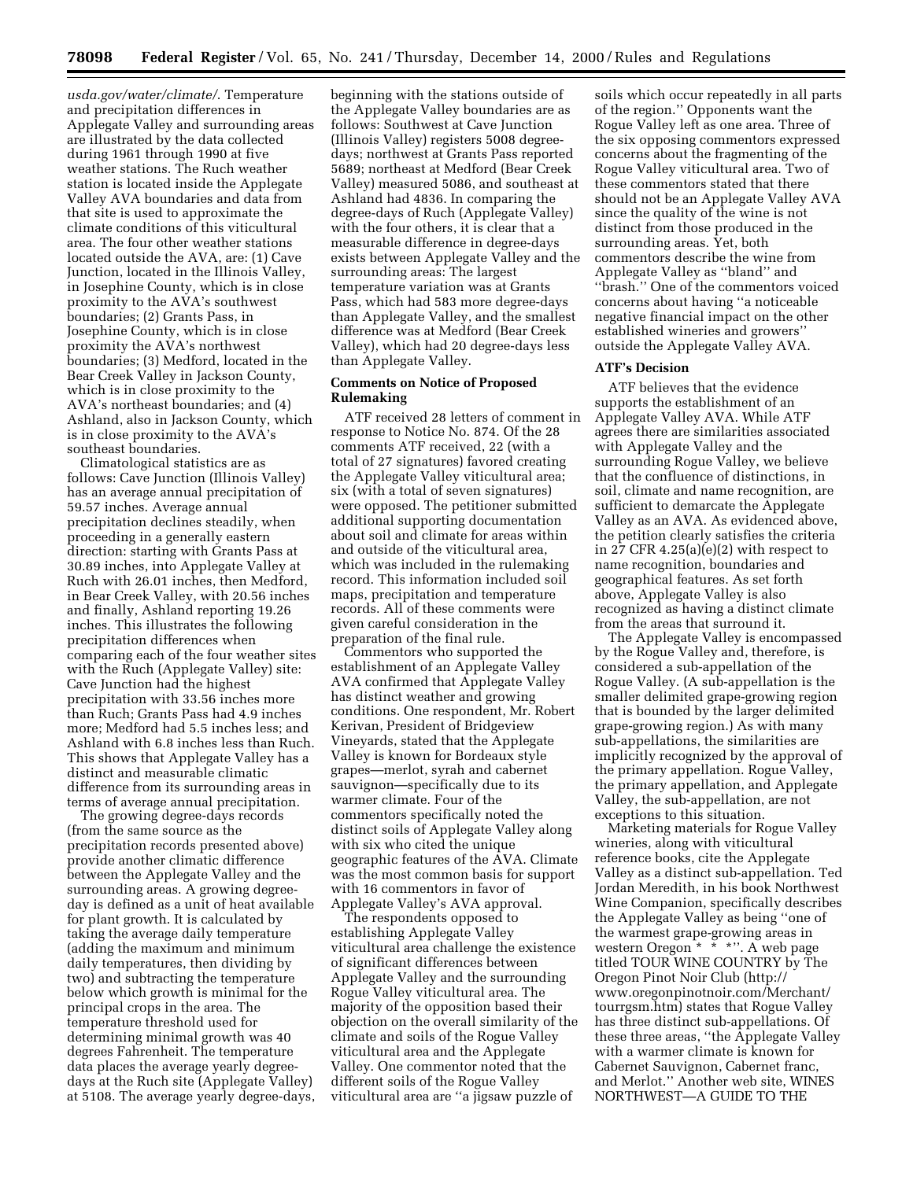*usda.gov/water/climate/*. Temperature and precipitation differences in Applegate Valley and surrounding areas are illustrated by the data collected during 1961 through 1990 at five weather stations. The Ruch weather station is located inside the Applegate Valley AVA boundaries and data from that site is used to approximate the climate conditions of this viticultural area. The four other weather stations located outside the AVA, are: (1) Cave Junction, located in the Illinois Valley, in Josephine County, which is in close proximity to the AVA's southwest boundaries; (2) Grants Pass, in Josephine County, which is in close proximity the AVA's northwest boundaries; (3) Medford, located in the Bear Creek Valley in Jackson County, which is in close proximity to the AVA's northeast boundaries; and (4) Ashland, also in Jackson County, which is in close proximity to the AVA's southeast boundaries.

Climatological statistics are as follows: Cave Junction (Illinois Valley) has an average annual precipitation of 59.57 inches. Average annual precipitation declines steadily, when proceeding in a generally eastern direction: starting with Grants Pass at 30.89 inches, into Applegate Valley at Ruch with 26.01 inches, then Medford, in Bear Creek Valley, with 20.56 inches and finally, Ashland reporting 19.26 inches. This illustrates the following precipitation differences when comparing each of the four weather sites with the Ruch (Applegate Valley) site: Cave Junction had the highest precipitation with 33.56 inches more than Ruch; Grants Pass had 4.9 inches more; Medford had 5.5 inches less; and Ashland with 6.8 inches less than Ruch. This shows that Applegate Valley has a distinct and measurable climatic difference from its surrounding areas in terms of average annual precipitation.

The growing degree-days records (from the same source as the precipitation records presented above) provide another climatic difference between the Applegate Valley and the surrounding areas. A growing degreeday is defined as a unit of heat available for plant growth. It is calculated by taking the average daily temperature (adding the maximum and minimum daily temperatures, then dividing by two) and subtracting the temperature below which growth is minimal for the principal crops in the area. The temperature threshold used for determining minimal growth was 40 degrees Fahrenheit. The temperature data places the average yearly degreedays at the Ruch site (Applegate Valley) at 5108. The average yearly degree-days, beginning with the stations outside of the Applegate Valley boundaries are as follows: Southwest at Cave Junction (Illinois Valley) registers 5008 degreedays; northwest at Grants Pass reported 5689; northeast at Medford (Bear Creek Valley) measured 5086, and southeast at Ashland had 4836. In comparing the degree-days of Ruch (Applegate Valley) with the four others, it is clear that a measurable difference in degree-days exists between Applegate Valley and the surrounding areas: The largest temperature variation was at Grants Pass, which had 583 more degree-days than Applegate Valley, and the smallest difference was at Medford (Bear Creek Valley), which had 20 degree-days less than Applegate Valley.

## **Comments on Notice of Proposed Rulemaking**

ATF received 28 letters of comment in response to Notice No. 874. Of the 28 comments ATF received, 22 (with a total of 27 signatures) favored creating the Applegate Valley viticultural area; six (with a total of seven signatures) were opposed. The petitioner submitted additional supporting documentation about soil and climate for areas within and outside of the viticultural area, which was included in the rulemaking record. This information included soil maps, precipitation and temperature records. All of these comments were given careful consideration in the preparation of the final rule.

Commentors who supported the establishment of an Applegate Valley AVA confirmed that Applegate Valley has distinct weather and growing conditions. One respondent, Mr. Robert Kerivan, President of Bridgeview Vineyards, stated that the Applegate Valley is known for Bordeaux style grapes—merlot, syrah and cabernet sauvignon—specifically due to its warmer climate. Four of the commentors specifically noted the distinct soils of Applegate Valley along with six who cited the unique geographic features of the AVA. Climate was the most common basis for support with 16 commentors in favor of Applegate Valley's AVA approval.

The respondents opposed to establishing Applegate Valley viticultural area challenge the existence of significant differences between Applegate Valley and the surrounding Rogue Valley viticultural area. The majority of the opposition based their objection on the overall similarity of the climate and soils of the Rogue Valley viticultural area and the Applegate Valley. One commentor noted that the different soils of the Rogue Valley viticultural area are ''a jigsaw puzzle of

soils which occur repeatedly in all parts of the region.'' Opponents want the Rogue Valley left as one area. Three of the six opposing commentors expressed concerns about the fragmenting of the Rogue Valley viticultural area. Two of these commentors stated that there should not be an Applegate Valley AVA since the quality of the wine is not distinct from those produced in the surrounding areas. Yet, both commentors describe the wine from Applegate Valley as ''bland'' and ''brash.'' One of the commentors voiced concerns about having ''a noticeable negative financial impact on the other established wineries and growers'' outside the Applegate Valley AVA.

## **ATF's Decision**

ATF believes that the evidence supports the establishment of an Applegate Valley AVA. While ATF agrees there are similarities associated with Applegate Valley and the surrounding Rogue Valley, we believe that the confluence of distinctions, in soil, climate and name recognition, are sufficient to demarcate the Applegate Valley as an AVA. As evidenced above, the petition clearly satisfies the criteria in 27 CFR  $4.25(a)(e)(2)$  with respect to name recognition, boundaries and geographical features. As set forth above, Applegate Valley is also recognized as having a distinct climate from the areas that surround it.

The Applegate Valley is encompassed by the Rogue Valley and, therefore, is considered a sub-appellation of the Rogue Valley. (A sub-appellation is the smaller delimited grape-growing region that is bounded by the larger delimited grape-growing region.) As with many sub-appellations, the similarities are implicitly recognized by the approval of the primary appellation. Rogue Valley, the primary appellation, and Applegate Valley, the sub-appellation, are not exceptions to this situation.

Marketing materials for Rogue Valley wineries, along with viticultural reference books, cite the Applegate Valley as a distinct sub-appellation. Ted Jordan Meredith, in his book Northwest Wine Companion, specifically describes the Applegate Valley as being ''one of the warmest grape-growing areas in western Oregon \* \* \*''. A web page titled TOUR WINE COUNTRY by The Oregon Pinot Noir Club (http:// www.oregonpinotnoir.com/Merchant/ tourrgsm.htm) states that Rogue Valley has three distinct sub-appellations. Of these three areas, ''the Applegate Valley with a warmer climate is known for Cabernet Sauvignon, Cabernet franc, and Merlot.'' Another web site, WINES NORTHWEST—A GUIDE TO THE